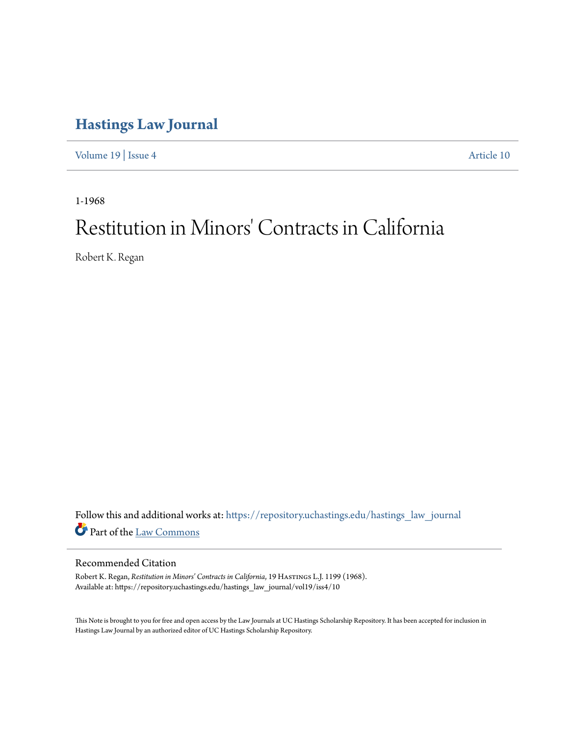# **[Hastings Law Journal](https://repository.uchastings.edu/hastings_law_journal?utm_source=repository.uchastings.edu%2Fhastings_law_journal%2Fvol19%2Fiss4%2F10&utm_medium=PDF&utm_campaign=PDFCoverPages)**

[Volume 19](https://repository.uchastings.edu/hastings_law_journal/vol19?utm_source=repository.uchastings.edu%2Fhastings_law_journal%2Fvol19%2Fiss4%2F10&utm_medium=PDF&utm_campaign=PDFCoverPages) | [Issue 4](https://repository.uchastings.edu/hastings_law_journal/vol19/iss4?utm_source=repository.uchastings.edu%2Fhastings_law_journal%2Fvol19%2Fiss4%2F10&utm_medium=PDF&utm_campaign=PDFCoverPages) [Article 10](https://repository.uchastings.edu/hastings_law_journal/vol19/iss4/10?utm_source=repository.uchastings.edu%2Fhastings_law_journal%2Fvol19%2Fiss4%2F10&utm_medium=PDF&utm_campaign=PDFCoverPages)

1-1968

# Restitution in Minors' Contracts in California

Robert K. Regan

Follow this and additional works at: [https://repository.uchastings.edu/hastings\\_law\\_journal](https://repository.uchastings.edu/hastings_law_journal?utm_source=repository.uchastings.edu%2Fhastings_law_journal%2Fvol19%2Fiss4%2F10&utm_medium=PDF&utm_campaign=PDFCoverPages) Part of the [Law Commons](http://network.bepress.com/hgg/discipline/578?utm_source=repository.uchastings.edu%2Fhastings_law_journal%2Fvol19%2Fiss4%2F10&utm_medium=PDF&utm_campaign=PDFCoverPages)

# Recommended Citation

Robert K. Regan, *Restitution in Minors' Contracts in California*, 19 HASTINGS L.J. 1199 (1968). Available at: https://repository.uchastings.edu/hastings\_law\_journal/vol19/iss4/10

This Note is brought to you for free and open access by the Law Journals at UC Hastings Scholarship Repository. It has been accepted for inclusion in Hastings Law Journal by an authorized editor of UC Hastings Scholarship Repository.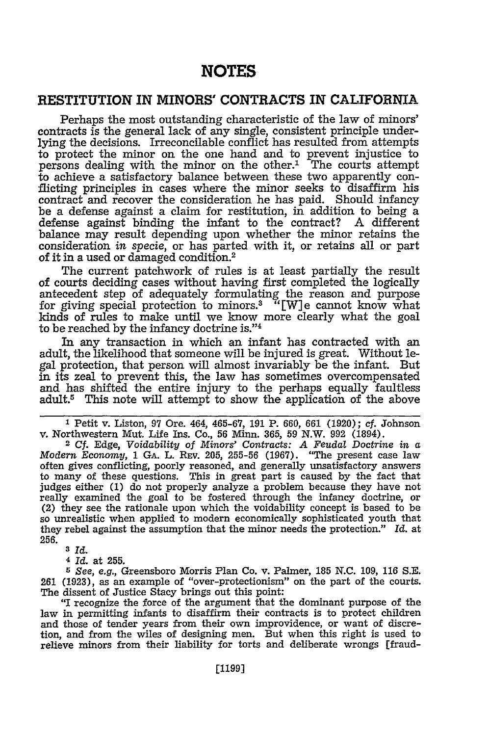# **NOTES**

# **RESTITUTION IN MINORS' CONTRACTS IN CALIFORNIA**

Perhaps the most outstanding characteristic of the law of minors' contracts is the general lack of any single, consistent principle underlying the decisions. Irreconcilable conflict has resulted from attempts to protect the minor on the one hand and to prevent injustice to persons dealing with the minor on the other.<sup>1</sup> The courts attempt to achieve a satisfactory balance between these two apparently conflicting principles in cases where the minor seeks to disaffirm his be a defense against a claim for restitution, in addition to being a defense against binding the infant to the contract? A different balance may result depending upon whether the minor retains the consideration *in specie,* or has parted with it, or retains all or part of it in a used or damaged condition.<sup>2</sup>

The current patchwork of rules is at least partially the result of courts deciding cases without having first completed the logically antecedent step of adequately formulating the reason and purpose for giving special protection to minors.<sup>3</sup> "[W]e cannot know what kinds of rules to make until we know more clearly what the goal to be reached by the infancy doctrine is."'4

In any transaction in which an infant has contracted with an adult, the likelihood that someone will be injured is great. Without legal protection, that person will almost invariably be the infant. But in its zeal to prevent this, the law has sometimes overcompensated and has shifted the entire injury to the perhaps equally faultless adult.5 This note will attempt to show the application of the above

**1** Petit v. Liston, 97 Ore. 464, 465-67, 191 P. 660, 661 (1920); cf. Johnson v. Northwestern Mut. Life Ins. Co., 56 Minn. 365, 59 N.W. 992 (1894).

<sup>2</sup>**Cf.** Edge, *Voidability of Minors' Contracts: A Feudal Doctrine in a Modern Economy,* 1 GA. L. REV. 205, 255-56 (1967). "The present case law often gives conflicting, poorly reasoned, and generally unsatisfactory answers to many of these questions. This in great part is caused by the fact that judges either (1) do not properly analyze a problem because they have not really examined the goal to be fostered through the infancy doctrine, or (2) they see the rationale upon which the voidability concept is based to be so unrealistic when applied to modern economically sophisticated youth that they rebel against the assumption that the minor needs the protection." *Id.* at **256.**

**<sup>3</sup>***Id.*

**<sup>4</sup>***Id.* at 255.

*5 See, e.g.,* Greensboro Morris Plan Co. v. Palmer, 185 N.C. 109, 116 S.E. 261 (1923), as an example of "over-protectionism" on the part of the courts. The dissent of Justice Stacy brings out this point:

"I recognize the force of the argument that the dominant purpose of the law in permitting infants to disaffirm their contracts is to protect children and those of tender years from their own improvidence, or want of discretion, and from the wiles of designing men. But when this right is used to relieve minors from their liability for torts and deliberate wrongs [fraud-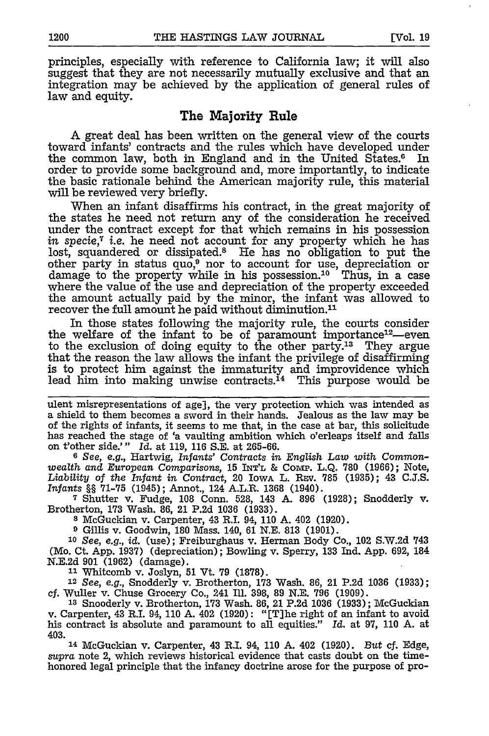principles, especially with reference to California law; it will also suggest that they are not necessarily mutually exclusive and that an integration may be achieved by the application of general rules of law and equity.

### The Majority Rule

A great deal has been written on the general view of the courts toward infants' contracts and the rules which have developed under<br>the common law, both in England and in the United States.<sup>6</sup> In the common law, both in England and in the United States. $6$ order to provide some background and, more importantly, to indicate the basic rationale behind the American majority rule, this material will be reviewed very briefly.

When an infant disaffirms his contract, in the great majority of the states he need not return any of the consideration he received under the contract except for that which remains in his possession *in specie,7* i.e. he need not account for any property which he has lost, squandered or dissipated.8 He has no obligation to put the other party in status quo,<sup>9</sup> nor to account for use, depreciation or damage to the property while in his possession.'0 Thus, in a case where the value of the use and depreciation of the property exceeded the amount actually paid by the minor, the infant was allowed to recover the full amount he paid without diminution.<sup>11</sup>

In those states following the majority rule, the courts consider the welfare of the infant to be of paramount importance<sup>12</sup>—even to the exclusion of doing equity to the other party.13 They argue that the reason the law allows the infant the privilege of disaffirming is to protect him against the immaturity and improvidence which lead him into making unwise contracts.<sup>14</sup> This purpose would be

ulent misrepresentations of age], the very protection which was intended as a shield to them becomes a sword in their hands. Jealous as the law may be of the rights of infants, it seems to me that, in the case at bar, this solicitude has reached the stage of 'a vaulting ambition which o'erleaps itself and falls on t'other side.'" *Id.* at 119, 116 S.E. at 265-66.

*6 See, e.g.,* Hartwig, *Infants' Contracts in English Law with Commonwealth* and *European Comparisons,* 15 **INT'L** & COMP. L.Q. 780 (1966); Note, *Liability* of *the Infant in Contract,* 20 IowA L. REv. 785 (1935); 43 C.J.S. *Infants* §§ 71-75 (1945); Annot, 124 A.L.R. 1368 (1940).

**<sup>7</sup>**Shutter v. Fudge, 108 Conn. 528, 143 A. 896 (1928); Snodderly v. Brotherton, 173 Wash. 86, 21 P.2d 1036 (1933).

**<sup>8</sup>**McGuckian v. Carpenter, 43 R.I. 94, 110 A. 402 (1920).

**9** Gillis v. Goodwin, 180 Mass. 140, 61 N.E. 813 (1901).

*<sup>10</sup>See, e.g., id.* (use); Freiburghaus v. Herman Body Co., 102 S.W.2d 743 (Mo. Ct. App. 1937) (depreciation); Bowling v. Sperry, 133 Ind. App. 692, 184 N.E.2d 901 (1962) (damage).

**<sup>11</sup>**Whitcomb v. Joslyn, 51 Vt. 79 (1878).

<sup>12</sup>*See,* e.g., Snodderly v. Brotherton, 173 Wash. 86, 21 P.2d 1036 (1933); *cf.* Wuller v. Chuse Grocery Co., 241 Ill. 398, 89 N.E. 796 (1909).

<sup>13</sup> Snooderly v. Brotherton, 173 Wash. 86, 21 P.2d 1036 (1933); McGuckian v. Carpenter, 43 R.I. 94, 110 A. 402 (1920): "[T]he right of an infant to avoid his contract is absolute and paramount to all equities." *Id.* at 97, **110** A. at 403.

14 McGuckian v. Carpenter, 43 R.I. 94, 110 A. 402 (1920). *But* **cf.** Edge, *supra* note 2, which reviews historical evidence that casts doubt on the timehonored legal principle that the infancy doctrine arose for the purpose of pro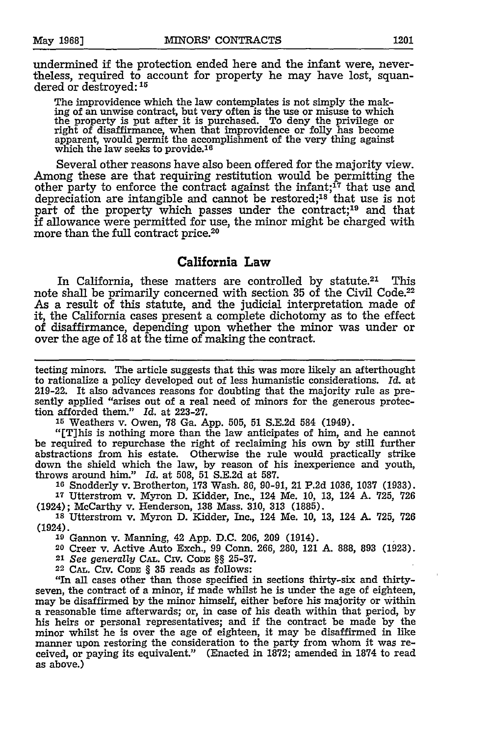undermined **if** the protection ended here and the infant were, nevertheless, required to account for property he may have lost, squandered or **destroyed: 15**

The improvidence which the law contemplates is not simply the making of an unwise contract, but very often is the use or misuse to which the property is put after it is purchased. To deny the privilege or right of disaffirmance, when that improvidence or folly has become apparent, would permit the accomplishment of the very thing against which the law seeks to provide.<sup>16</sup>

Several other reasons have also been offered for the majority view. Among these are that requiring restitution would be permitting the other party to enforce the contract against the infant; $^{17}$  that use and depreciation are intangible and cannot be restored; $^{18}$  that use is not part of the property which passes under the contract;<sup>19</sup> and that **if** allowance were permitted for use, the minor might be charged with more than the full contract price.20

## **California Law**

In California, these matters are controlled **by** statute.21 This note shall be primarily concerned with section **35** of the Civil Code.22 As a result of this statute, and the judicial interpretation made of it, the California cases present a complete dichotomy as to the effect of disaffirmance, depending upon whether the minor was under or over the age of **18** at the time of making the contract.

tecting minors. The article suggests that this was more likely an afterthought to rationalize a policy developed out of less humanistic considerations. *Id.* at 219-22. It also advances reasons for doubting that the majority rule as presently applied "arises out of a real need of minors for the generous protection afforded them." **Id.** at **223-27.**

**<sup>15</sup>**Weathers v. Owen, **78** Ga. App. **505, 51 S.E.2d** 584 (1949).

"[This is nothing more than the law anticipates of him, and he cannot be required to repurchase the right of reclaiming his own **by** still further abstractions from his estate. Otherwise the rule would practically strike down the shield which the law, **by** reason of his inexperience and youth, throws around him." *Id.* at **508, 51 S.E.2d** at **587.**

**<sup>16</sup>**Snodderly v. Brotherton, **173** Wash. **86, 90-91,** 21 **P.2d 1036, 1037 (1933). <sup>17</sup>**Utterstrom v. Myron **D.** Kidder, Inc., 124 Me. **10, 13,** 124 **A. 725, 726**

(1924); McCarthy v. Henderson, **138** Mass. **310, 313 (1885).**

**<sup>18</sup>**Utterstrom v. Myron **D.** Kidder, Inc., 124 Me. **10, 13,** 124 **A-** 725, **726** (1924).

**<sup>19</sup>**Gannon v. Manning, 42 App. D.C. 206, 209 (1914).

20 Creer v. Active Auto Exch., 99 Conn. 266, 280, 121 A. 888, 893 (1923).

21 See *generally* **CAL.** Crv. CODE **§§** 25-37.

22 CAL. CIv. **CODE § 35** reads as follows:

"In all cases other than those specified in sections thirty-six and thirtyseven, the contract of a minor, if made whilst he is under the age of eighteen, may be disaffirmed by the minor himself, either before his majority or within a reasonable time afterwards; or, in case of his death within that period, by his heirs or personal representatives; and if the contract be made by the minor whilst he is over the age of eighteen, it may be disaffirmed in like manner upon restoring the consideration to the party from whom it was received, or paying its equivalent." (Enacted in 1872; amended in 1874 to read as above.)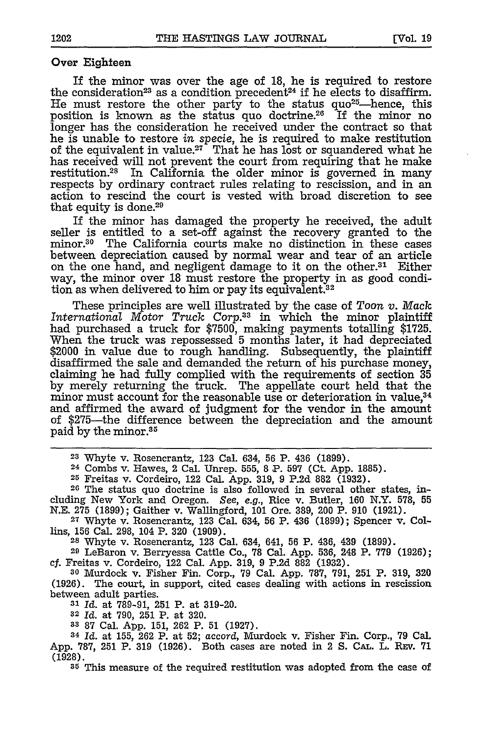#### Over Eighteen

If the minor was over the age of **18,** he is required to restore the consideration<sup>23</sup> as a condition precedent<sup>24</sup> if he elects to disaffirm. He must restore the other party to the status quo<sup>25</sup>—hence, this position is known as the status quo doctrine.26 If the minor no longer has the consideration he received under the contract so that he is unable to restore *in* specie, he is required to make restitution of the equivalent in value.<sup>27</sup> That he has lost or squandered what he has received will not prevent the court from requiring that he make restitution.<sup>28</sup> In California the older minor is governed in many respects by ordinary contract rules relating to rescission, and in an action to rescind the court is vested with broad discretion to see that equity is done.<sup>29</sup>

If the minor has damaged the property he received, the adult seller is entitled to a set-off against the recovery granted to the minor.30 The California courts make no distinction in these cases between depreciation caused by normal wear and tear of an article on the one hand, and negligent damage to it on the other.31 Either way, the minor over 18 must restore the property in as good condition as when delivered to him or pay its equivalent.<sup>32</sup>

These principles are well illustrated by the case of Toon *v.* Mack *International Motor Truck Corp.33* in which the minor plaintiff had purchased a truck for \$7500, making payments totalling \$1725. When the truck was repossessed 5 months later, it had depreciated \$2000 in value due to rough handling. Subsequently, the plaintiff disaffirmed the sale and demanded the return of his purchase money, claiming he had fully complied with the requirements of section 35 by merely returning the truck. The appellate court held that the minor must account for the reasonable use or deterioration in value,<sup>34</sup> and affirmed the award of judgment for the vendor in the amount of \$275-the difference between the depreciation and the amount paid by the minor.35

24 Combs v. Hawes, 2 Cal. Unrep. 555, 8 P. 597 (Ct. App. 1885).

**<sup>25</sup>**Freitas v. Cordeiro, 122 Cal. App. 319, 9 P.2d 882 (1932).

26 The status quo doctrine is also followed in several other states, including New York and Oregon. *See, e.g.,* Rice v. Butler, 160 N.Y. 578, 55 N.E. 275 (1899); Gaither v. Wallingford, 101 Ore. 389, 200 P. 910 (1921). **27** Whyte v. Rosencrantz, 123 Cal. 634, **56** P. 436 (1899); Spencer v. Col-

<sup>27</sup> Whyte v. Rosencrantz, 123 Cal. 634, 56 P. 436 (1899); Spencer v. Collins, 156 Cal. 298, 104 P. 320 (1909).<br><sup>28</sup> Whyte v. Rosencrantz, 123 Cal. 634, 641, 56 P. 436, 439 (1899).

29 LeBaron v. Berryessa Cattle Co., 78 Cal. App. 536, 248 P. **779** (1926); cf. Freitas v. Cordeiro, 122 Cal. App. 319, 9 P.2d 882 (1932). **<sup>30</sup>**Murdock v. Fisher Fin. Corp., 79 Cal. App. 787, 791, 251 P. 319, **<sup>320</sup>**

(1926). The court, in support, cited cases dealing with actions in rescission between adult parties.

**<sup>31</sup>***Id.* at 789-91, 251 P. at 319-20. **<sup>32</sup>***Id.* at 790, 251 P. at 320.

**<sup>33</sup>**87 Cal. App. 151, 262 P. 51 (1927).

<sup>34</sup>*Id.* at 155, 262 P. at 52; *accord,* Murdock v. Fisher Fin. Corp., 79 Cal. App. 787, 251 P. 319 (1926). Both cases are noted in 2 **S.** CAL. L. REV. **71** (1928).

**<sup>35</sup>**This measure of the required restitution was adopted from the case of

**<sup>23</sup>**Whyte v. Rosencrantz, 123 Cal. 634, 56 P. 436 (1899).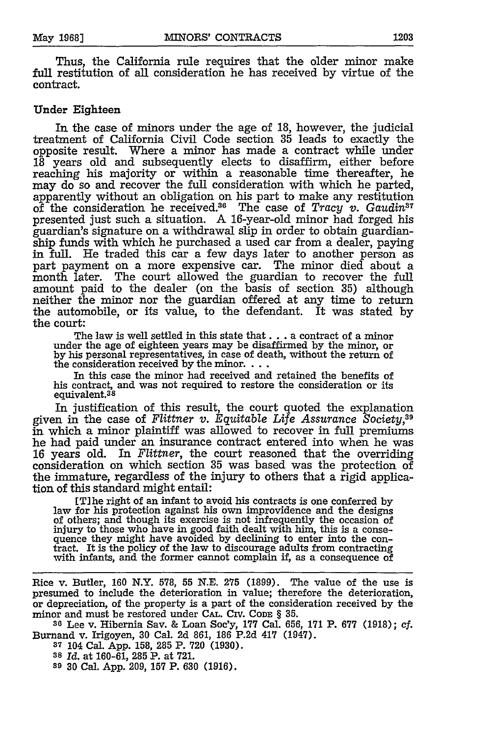Thus, the California rule requires that the older minor make full restitution of all consideration he has received by virtue of the contract.

#### Under Eighteen

In the case of minors under the age of **18,** however, the judicial treatment of California Civil Code section **35** leads to exactly the opposite result. Where a minor has made a contract while under **18** years old and subsequently elects to disaffirm, either before reaching his majority or within a reasonable time thereafter, he may do so and recover the full consideration with which he parted, apparently without an obligation on his part **to** make any restitution of the consideration he received.<sup>36</sup> The case of *Tracy v. Gaudin*<sup>37</sup> presented just such a situation. A 16-year-old minor had forged his guardian's signature on a withdrawal slip in order to obtain guardianship funds with which he purchased a used car from a dealer, paying **in full.** He traded this car a few days later to another person as part payment on a more expensive car. The minor died about a month later. The court allowed the guardian to recover the **full** amount paid to the dealer (on the basis of section **35)** although neither the minor nor the guardian offered at any time to return the automobile, or its value, to the defendant. It was stated **by** the court:

The law is well settled in this state that **...** a contract of a minor under the age of eighteen years may be disaffirmed **by** the minor, or **by** his personal representatives, in case of death, without the return of the consideration received **by** the minor....

In this case the minor had received and retained the benefits of his contract, and was not required to restore the consideration or its equivalent.38

In justification of this result, the court quoted the explanation given in the case of Flittner v. Equitable Life Assurance Society,<sup>39</sup> in which a minor plaintiff was allowed to recover in full premiums he had paid under an insurance contract entered into when he was 16 years old. In *Flittner,* the court reasoned that the overriding consideration on which section **35** was based was the protection of the immature, regardless of the injury to others that a rigid application of this standard might entail:

[Tlhe right of an infant to avoid his contracts is one conferred by law for his protection against his own improvidence and the designs of others; and though its exercise is not infrequently the occasion of injury to those who have in good faith dealt with him, this is a consequence they might have avoided by declining to enter into the contract. It is the policy of the law to discourage adults from contracting with infants, and the former cannot complain if, as a consequence of

Rice v. Butler, **160** N.Y. 578, **55** N.E. **275** (1899). The value of the use is presumed to include the deterioration in value; therefore the deterioration, or depreciation, of the property is a part of the consideration received by the minor and must be restored under **CAL.** Civ. CODE § **35.**

**<sup>30</sup>**Lee v. Hibernia Say. & Loan Soc'y, **177** Cal. 656, **171** P. **677 (1918);** cf. Burnand v. Irigoyen, **30** Cal. 2d 861, 186 P.2d 417 (1947).

**<sup>37</sup>**104 Cal. App. 158, **285** P. **720** (1930).

**<sup>38</sup>***Id.* at **160-61, 285** P. at **721.**

**<sup>39</sup>**30 Cal. App. 209, **157** P. 630 (1916).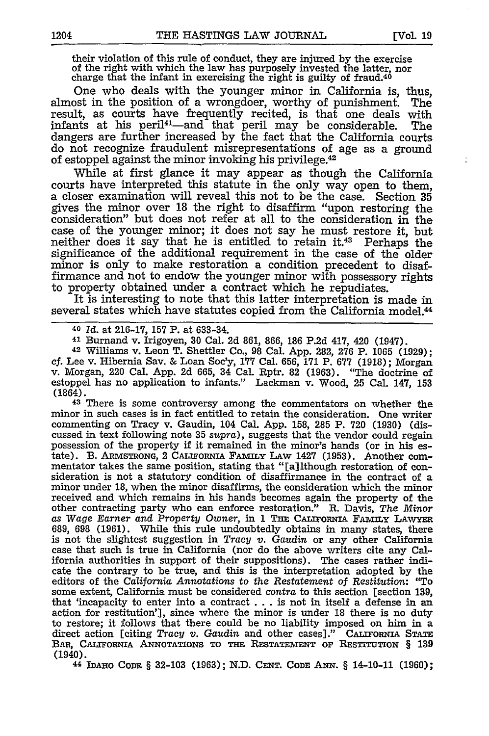their violation of this rule of conduct, they are injured **by** the exercise of the right with which the law has purposely invested the latter, nor charge that the infant in exercising the right is guilty of fraud.<sup>40</sup>

One who deals with the younger minor in California is, thus, almost in the position of a wrongdoer, worthy of punishment. The result, as courts have frequently recited, is that one deals with infants at his peril<sup>41</sup>—and that peril may be considerable. The dangers are further increased by the fact that the California courts do not recognize fraudulent misrepresentations of age as a ground of estoppel against the minor invoking his privilege.42

While at first glance it may appear as though the California courts have interpreted this statute in the only way open to them, a closer examination will reveal this not to be the case. Section 35 gives the minor over 18 the right to disaffirm "upon restoring the consideration" but does not refer at all to the consideration in the case of the younger minor; it does not say he must restore it, but neither does it say that he is entitled to retain it.<sup>43</sup> Perhaps the significance of the additional requirement in the case of the older minor is only to make restoration a condition precedent to disaffirmance and not to endow the younger minor with possessory rights to property obtained under a contract which he repudiates.

It is interesting to note that this latter interpretation is made in several states which have statutes copied from the California model.<sup>44</sup>

**<sup>40</sup>***Id.* at 216-17, **157** P. at 633-34.

**<sup>41</sup>**Burnand v. Irigoyen, **30** Cal. 2d 861, 866, 186 P.2d 417, 420 (1947).

**<sup>42</sup>**Williams v. Leon T. Shettler Co., 98 Cal. App. 282, 276 P. 1065 (1929); cf. Lee v. Hibernia Say. & Loan Soc'y, **177** Cal. 656, **171** P. **677** (1918); Morgan v. Morgan, 220 Cal. App. 2d 665, 34 Cal. Rptr. 82 (1963). "The doctrine of estoppel has no application to infants." Lackman v. Wood, 25 Cal. 147, **153**  $(1864)$ .<br>43 There is some controversy among the commentators on whether the

minor in such cases is in fact entitled to retain the consideration. One writer commenting on Tracy v. Gaudin, 104 Cal. App. 158, 285 P. **720** (1930) (discussed in text following note **35** *supra),* suggests that the vendor could regain possession of the property if it remained in the minor's hands (or in his estate). B. ARMSTRONG, 2 **CALIFoRNIA FAMILy** LAw 1427 (1953). Another commentator takes the same position, stating that "[a]lthough restoration of consideration is not a statutory condition of disaffirmance in the contract of a minor under 18, when the minor disaffirms, the consideration which the minor received and which remains in his hands becomes again the property of the other contracting party who can enforce restoration." **R.** Davis, *The Minor as Wage Earner* and *Property Owner,* in 1 **THE** CAIromNIA **FAmIY LAW-YER** 689, 698 (1961). While this rule undoubtedly obtains in many states, there is not the slightest suggestion in *Tracy v. Gaudin* or any other California case that such is true in California (nor do the above writers cite any California authorities in support of their suppositions). The cases rather indicate the contrary to be true, and this is the interpretation adopted by the editors of the *California Annotations* to *the Restatement of Restitution:* **"To** some extent, California must be considered *contra* to this section [section 139, that 'incapacity to enter into a contract . . . is not in itself a defense in an action for restitution'], since where the minor is under 18 there is no duty to restore; it follows that there could be no liability imposed on him in a direct action [citing *Tracy v. Gaudin* and other cases]." **CALIFORNIA STATE BAR, CALIFoRuiA ANNOTATIONS TO THE RESTATEmENT Or RESTITUTiON § 139** (1940).

**44 IDAHO CODE** § **32-103 (1963);** N.D. **CENT. CODE ANN.** § 14-10-11 (1960);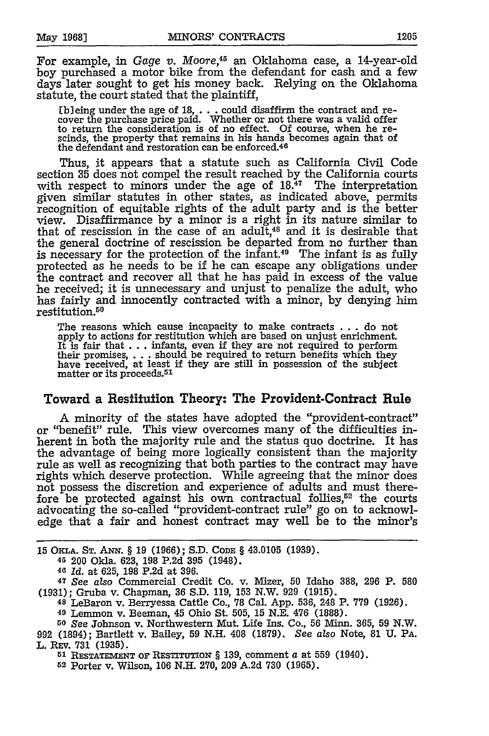For example, in *Gage v. Moore,45* an Oklahoma case, a 14-year-old boy purchased a motor bike from the defendant for cash and a few days later sought to get his money back. Relying on the Oklahoma statute, the court stated that the plaintiff,

**Eb]** eing under the age of *18,* . . .could disaffirm the contract and re-cover the purchase price paid. Whether or not there was a valid offer to return the consideration is of no effect. Of course, when he rescinds, the property that remains in his hands becomes again that of the defendant and restoration can be enforced.<sup>40</sup>

Thus, it appears that a statute such as California Civil Code section **35** does not compel the result reached by the California courts with respect to minors under the age of **18.47** The interpretation given similar statutes in other states, as indicated above, permits recognition of equitable rights of the adult party and is the better view. Disaffirmance by a minor is a right in its nature similar to that of rescission in the case of an adult,<sup>48</sup> and it is desirable that the general doctrine of rescission be departed from no further than is necessary for the protection of the infant.<sup>49</sup> The infant is as fully protected as he needs to be if he can escape any obligations under the contract and recover all that he has paid in excess of the value he received; it is unnecessary and unjust to penalize the adult, who has fairly and innocently contracted with a minor, by denying him restitution.50

The reasons which cause incapacity to make contracts **...** do not apply to actions for restitution which are based on unjust enrichment. It is fair **that...** infants, even **if** they are not required to perform their promises, **....** should be required to return benefits which they have received, at least if they are still in possession of the subject matter or its proceeds. <sup>51</sup>

### Toward a Resfitution Theory: The Provident-Contract Rule

A minority of the states have adopted the "provident-contract" or "benefit" rule. This view overcomes many of the difficulties inherent in both the majority rule and the status quo doctrine. It has the advantage of being more logically consistent than the majority rule as well as recognizing that both parties to the contract may have rights which deserve protection. While agreeing that the minor does not possess the discretion and experience of adults and must therefore be protected against his own contractual follies, $52$  the courts advocating the so-called "provident-contract rule" go on to acknowledge that a fair and honest contract may well be to the minor's

15 **OKLA. ST.** ANN. § **19 (1966); S.D. CODE** § 43.0105 **(1939).**

**<sup>45</sup>**200 Okla. 623, **198 P.2d 395** (1948).

**<sup>46</sup>***Id.* at **625, 198 P.2d** at **396.**

<sup>47</sup>*See also* Commercial Credit Co. v. Mizer, **50** Idaho **388, 296** P. **580 (1931);** Gruba v. Chapman, **36 S.D. 119, 153** N.W. 929 (1915).

**<sup>48</sup>**LeBaron v. Berryessa Cattle Co., **78** Cal. App. **536,** 248 P. **779** (1926).

**<sup>49</sup>**Lemmon v. Beeman, 45 Ohio St. 505, **15** N.E. 476 (1888).

*<sup>50</sup>See* Johnson v. Northwestern Mut. Life Ins. Co., **56 linn.** 365, **59** N.W. 992 (1894); Bartlett v. Bailey, **59** N.H. 408 (1879). *See also* Note, **81** U. PA. L. **REV. 731** (1935).

**51 RESTATEMENT OF** RESTITUTION § 139, comment a at **559** (1940).

62 Porter v. Wilson, 106 N.H. 270, 209 A.2d **730** (1965).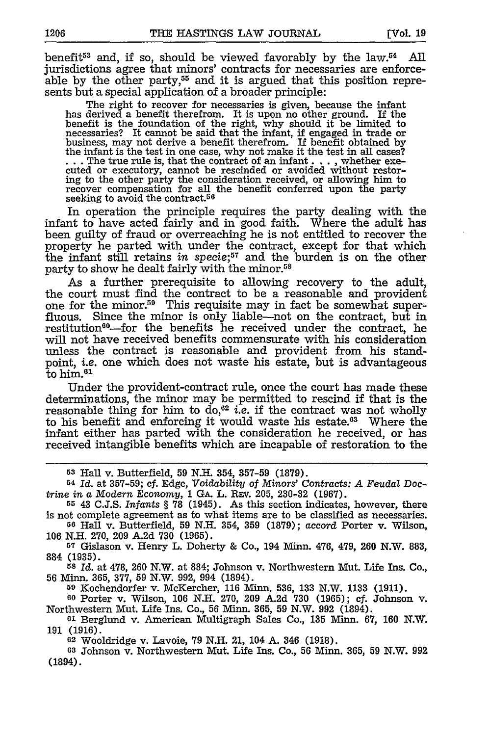benefit<sup>53</sup> and, if so, should be viewed favorably by the  $law<sup>54</sup>$  All jurisdictions agree that minors' contracts for necessaries are enforceable by the other party,<sup>55</sup> and it is argued that this position represents but a special application of a broader principle:

The right to recover for necessaries is given, because the infant has derived a benefit therefrom. It is upon no other ground. If the benefit is the foundation of the right, why should it be limited to necessaries? It cannot be said that the infant, if engaged in trade or business, may not derive a benefit therefrom. If benefit obtained by<br>the infant is the test in one case, why not make it the test in all cases?<br>...The true rule is, that the contract of an infant ..., whether exe-<br>cuted o ing to the other party the consideration received, or allowing him to recover compensation for all the benefit conferred upon the party seeking to avoid the contract.<sup>50</sup>

In operation the principle requires the party dealing with the infant to have acted fairly and in good faith. Where the adult has been guilty of fraud or overreaching he is not entitled to recover the property he parted with under the contract, except for that which the infant still retains *in specie;57* and the burden is on the other party to show he dealt fairly with the minor.<sup>58</sup>

As a further prerequisite to allowing recovery to the adult, the court must find the contract to be a reasonable and provident one for the minor.59 This requisite may in fact be somewhat superfluous. Since the minor is only liable-not on the contract, but in restitution<sup>60</sup>-for the benefits he received under the contract, he will not have received benefits commensurate with his consideration unless the contract is reasonable and provident from his standpoint, *i.e.* one which does not waste his estate, but is advantageous  $\mathrm{\bar{t}o}$  him. $^\mathrm{61}$ 

Under the provident-contract rule, once the court has made these determinations, the minor may be permitted to rescind if that is the reasonable thing for him to do,62 *i.e.* if the contract was not wholly to his benefit and enforcing it would waste his estate.<sup>63</sup> Where the infant either has parted with the consideration he received, or has received intangible benefits which are incapable of restoration to the

**59** Kochendorfer v. McKercher, 116 **Minn.** 536, **133** N.W. 1133 (1911). **<sup>60</sup>**Porter v. Wilson, 106 N.H. 270, 209 A.2d 730 (1965); cf. Johnson v.

**<sup>62</sup>**Wooldridge v. Lavoie, 79 **N.H.** 21, 104 A. 346 (1918).

**<sup>68</sup>**Johnson v. Northwestern Mut. Life Ins. Co., 56 Minn. 365, **59** N.W. 992 (1894).

**<sup>53</sup>**Hall v. Butterfield, **59 N.H.** 354, **357-59 (1879).**

**<sup>54</sup>***Id.* at **357-59;** cf. Edge, *Voidability of Minors' Contracts: A Feudal* Doc*trine in a Modern Economy,* **1 GA.** L. REV. 205, 230-32 **(1967).**

<sup>55 43</sup> C.J.S. *Infants* § 78 (1945). As this section indicates, however, there is not complete agreement as to what items are to be classified as necessaries.

**<sup>56</sup>**Hall v. Butterfield, 59 N.H. 354, **359** (1879); accord Porter v. Wilson, 106 N.H. 270, 209 A.2d 730 (1965).

**<sup>57</sup>**Gislason v. Henry L. Doherty **&** Co., 194 **Minn.** 476, 479, 260 N.W. 883, 884 (1935).

**<sup>58</sup>***Id.* at 478, 260 N.W. at 884; Johnson v. Northwestern Mut. Life Ins. Co., 56 Minn. 365, 377, 59 N.W. 992, 994 (1894).

Northwestern Mut. Life Ins. Co., 56 Minn. 365, 59 N.W. 992 (1894). **<sup>61</sup>**Berglund v. American Multigraph Sales Co., 135 Minn. 67, 160 N.W.

<sup>191 (1916).</sup>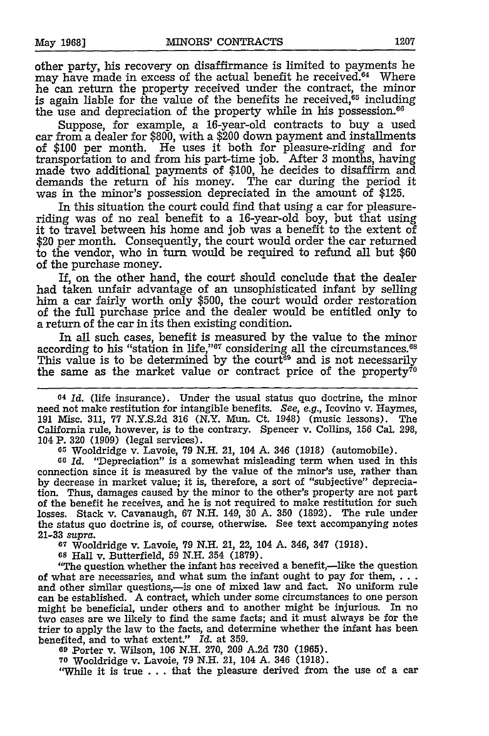other party, his recovery on disaffirmance is limited to payments he may have made in excess of the actual benefit he received.<sup>64</sup> Where he can return the property received under the contract, the minor is again liable for the value of the benefits he received, $65$  including the use and depreciation of the property while in his possession. $66$ 

Suppose, for example, a 16-year-old contracts to buy a used car from a dealer for \$800, with a \$200 down payment and installments of \$100 per month. He uses it both for pleasure-riding and for transportation to and from his part-time job. After 3 months, having made two additional payments of \$100, he decides to disaffirm and demands the return of his money. The car during the period it was in the minor's possession depreciated in the amount of \$125.

In this situation the court could find that using a car for pleasureriding was of no real benefit to a 16-year-old boy, but that using it to travel between his home and job was a benefit to the extent of \$20 per month. Consequently, the court would order the car returned to the vendor, who in turn would be required to refund all but \$60 of the purchase money.

If, on the other hand, the court should conclude that the dealer had taken unfair advantage of an unsophisticated infant by selling him a car fairly worth only \$500, the court would order restoration of the full purchase price and the dealer would be entitled only to a return of the car in its then existing condition.

In all such cases, benefit is measured by the value to the minor according to his "station in life,"<sup>67</sup> considering all the circumstances.<sup>68</sup> This value is to be determined by the court<sup>69</sup> and is not necessarily the same as the market value or contract price of the property<sup> $\bar{i}$ o</sup>

**<sup>64</sup>***Id.* (life insurance). Under the usual status quo doctrine, the minor need not make restitution for intangible benefits. *See, e.g.,* Icovino v. Haymes, 191 Misc. 311, 77 N.Y.S.2d 316 (N.Y. Mun. Ct. 1948) (music lessons). The California rule, however, is to the contrary. Spencer v. Collins, 156 Cal. 298, 104 P. 320 (1909) (legal services).

**<sup>65</sup>**Wooldridge v. Lavoie, 79 N.H. 21, 104 A. 346 (1918) (automobile).

**<sup>60</sup>***Id.* "Depreciation" is a somewhat misleading term when used in this connection since it is measured by the value of the minor's use, rather than by decrease in market value; it is, therefore, a sort of "subjective" depreciation. Thus, damages caused by the minor to the other's property are not part of the benefit he receives, and he is not required to make restitution for such losses. Stack v. Cavanaugh, 67 N.H. 149, 30 A. 350 (1892). The rule under the status quo doctrine is, of course, otherwise. See text accompanying notes 21-33 *supra.*

**<sup>67</sup>**Wooldridge v. Lavoie, 79 N.H. 21, 22, 104 A. 346, 347 (1918).

**<sup>68</sup>**Hall v. Butterfield, 59 N.H. 354 (1879).

"The question whether the infant has received a benefit,—like the question of what are necessaries, and what sum the infant ought to pay for them,... and other similar questions,- is one of mixed law and fact. No uniform rule can be established. A contract, which under some circumstances to one person might be beneficial, under others and to another might be injurious. In no two cases are we likely to find the same facts; and it must always be for the trier to apply the law to the facts, and determine whether the infant has been benefited, and to what extent." Id. at 359.

**<sup>09</sup>**Porter v. Wilson, 106 N.H. 270, 209 A.2d 730 (1965).

**70** Wooldridge v. Lavoie, 79 N.H. 21, 104 A. 346 (1918).

"While it is true . . . that the pleasure derived from the use of a car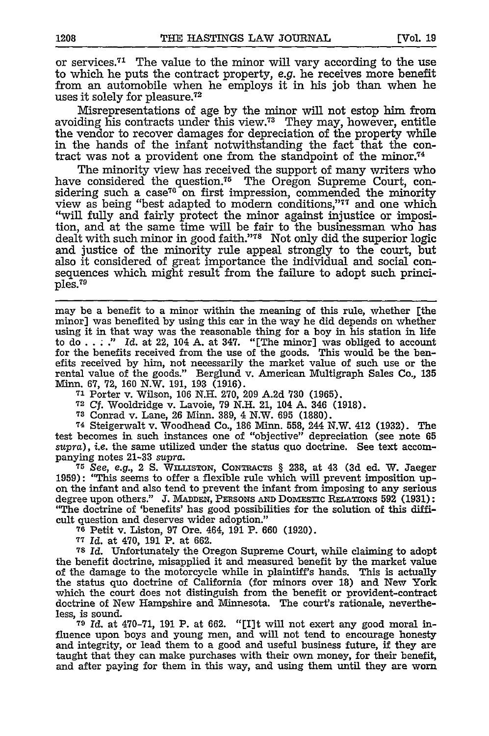or services.<sup>71</sup> The value to the minor will vary according to the use to which he puts the contract property, e.g. he receives more benefit from an automobile when he employs it in his job than when he uses it solely for pleasure.<sup>72</sup>

Misrepresentations of age by the minor will not estop him from avoiding his contracts under this view.<sup>73</sup> They may, however, entitle the vendor to recover damages for depreciation of the property while in the hands of the infant notwithstanding the fact that the contract was not a provident one from the standpoint of the minor.<sup>74</sup>

The minority view has received the support of many writers who have considered the question.<sup>75</sup> The Oregon Supreme Court, considering such a case<sup>76</sup> on first impression, commended the minority view as being "best adapted to modern conditions,"<sup>77</sup> and one which "will fully and fairly protect the minor against injustice or imposition, and at the same time will be fair to the businessman who has dealt with such minor in good faith."<sup>78</sup> Not only did the superior logic and justice of the minority rule appeal strongly to the court, but also it considered of great importance the individual and social consequences which might result from the failure to adopt such princi $p$ les. $79$ 

may be a benefit to a minor within the meaning of this rule, whether [the minor] was benefited by using this car in the way he did depends on whether using it in that way was the reasonable thing for a boy in his station in life to do . . ." *Id.* at 22, 104 A. at 347. "[The minor] was obliged to account for the benefits received from the use of the goods. This would be the benefits received by him, not necessarily the market value of such use or the rental value of the goods." Berglund v. American Multigraph Sales Co., **135**

Minn. 67, 72, 160 N.W. 191, 193 (1916). **<sup>71</sup>**Porter v. Wilson, 106 N.H. 270, 209 A.2d 730 (1965).

**<sup>72</sup>***Cf.* Wooldridge v. Lavoie, 79 N.H. 21, 104 A. 346 (1918).

**<sup>73</sup>**Conrad v. Lane, 26 Minn. 389, 4 N.W. **695** (1880).

**<sup>74</sup>**Steigerwalt v. Woodhead Co., 186 Minn. 558, 244 N.W. 412 (1932). The test becomes in such instances one of "objective" depreciation (see note 65 *supra),* i.e. the same utilized under the status quo doctrine. See text accom-

panying notes 21-33 supra. **<sup>75</sup>***See, e.g.,* 2 **S.** WiLisToN, CONTRACTs § 238, at 43 **(3d** ed. W. Jaeger 1959): "This seems to offer a flexible rule which will prevent imposition upon the infant and also tend to prevent the infant from imposing to any serious degree upon others." J. **MADDEN,** PERSONS AND DOMEsTic RELATIONS 592 (1931): "The doctrine of 'benefits' has good possibilities for the solution of this difficult question and deserves wider adoption."

**<sup>76</sup>**Petit v. Liston, 97 Ore. 464, 191 P. 660 (1920). **<sup>77</sup>***Id.* at 470, 191 P. at 662.

**<sup>78</sup>***Id.* Unfortunately the Oregon Supreme Court, while claiming to adopt the benefit doctrine, misapplied it and measured benefit by the market value of the damage to the motorcycle while in plaintiff's hands. This is actually the status quo doctrine of California (for minors over 18) and New York which the court does not distinguish from the benefit or provident-contract doctrine of New Hampshire and Minnesota. The court's rationale, nevertheless, is sound.

**79** *Id.* at 470-71, **191** P. at 662. "[I]t will not exert any good moral influence upon boys and young men, and will not tend to encourage honesty and integrity, or lead them to a good and useful business future, if they are taught that they can make purchases with their own money, for their benefit, and after paying for them in this way, and using them until they are worn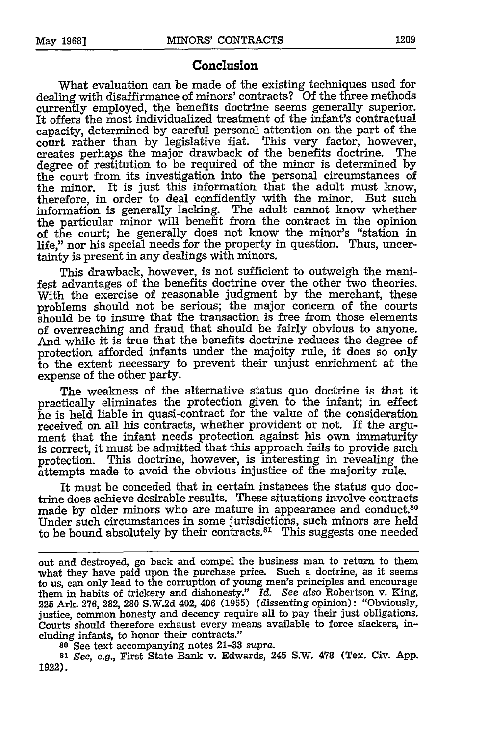### **Conclusion**

What evaluation can be made of the existing techniques used for dealing with disaffirmance of minors' contracts? Of the three methods currently employed, the benefits doctrine seems generally superior. It offers the most individualized treatment of the infant's contractual capacity, determined by careful personal attention on the part of the court rather than by legislative fiat. This very factor, however, creates perhaps the major drawback of the benefits doctrine. The degree of restitution to be required of the minor is determined by the court from its investigation into the personal circumstances of the minor. It is just this information that the adult must know, therefore, in order to deal confidently with the minor. But such information is generally lacking. The adult cannot know whether the particular minor will benefit from the contract in the opinion of the court; he generally does not know the minor's "station in life," nor his special needs for the property in question. Thus, uncertainty is present in any dealings with minors.

This drawback, however, is not sufficient to outweigh the manifest advantages of the benefits doctrine over the other two theories. With the exercise of reasonable judgment by the merchant, these problems should not be serious; the major concern of the courts should be to insure that the transaction is free from those elements of overreaching and fraud that should be fairly obvious to anyone. And while it is true that the benefits doctrine reduces the degree of protection afforded infants under the majoity rule, it does so only to the extent necessary to prevent their unjust enrichment at the expense of the other party.

The weakness of the alternative status quo doctrine is that it practically eliminates the protection given to the infant; in effect he is held liable in quasi-contract for the value of the consideration received on all his contracts, whether provident or not. If the argument that the infant needs protection against his own immaturity is correct, it must be admitted that this approach fails to provide such protection. This doctrine, however, is interesting in revealing the attempts made to avoid the obvious injustice of the majority rule.

It must be conceded that in certain instances the status quo doctrine does achieve desirable results. These situations involve contracts made by older minors who are mature in appearance and conduct.80 Under such circumstances in some jurisdictions, such minors are held to be bound absolutely by their contracts. $81$  This suggests one needed

**<sup>80</sup>**See text accompanying notes 21-33 supra.

*<sup>81</sup>See, e.g.,* First State Bank v. Edwards, 245 S.W. **478** (Tex. Civ. App. 1922).

out and destroyed, go back and compel the business man to return to them what they have paid upon the purchase price. Such a doctrine, as it seems to us, can only lead to the corruption of young men's principles and encourage them in habits of trickery and dishonesty." *Id. See also* Robertson v. King, 225 Ark. 276, 282, **280** S.W.2d 402, 406 (1955) (dissenting opinion): "Obviously, justice, common honesty and decency require all to pay their just obligations. Courts should therefore exhaust every means available to force slackers, including infants, to honor their contracts."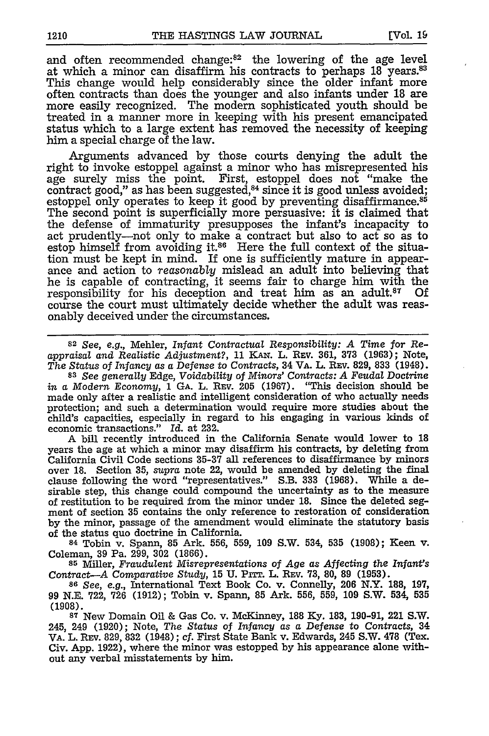and often recommended change:<sup>82</sup> the lowering of the age level at which a minor can disaffirm his contracts to perhaps 18 years.83 This change would help considerably since the older infant more often contracts than does the younger and also infants under 18 are more easily recognized. The modern sophisticated youth should be treated in a manner more in keeping with his present emancipated status which to a large extent has removed the necessity of keeping him a special charge of the law.

Arguments advanced by those courts denying the adult the right to invoke estoppel against a minor who has misrepresented his age surely miss the point. First, estoppel does not "make the contract good," as has been suggested, $84$  since it is good unless avoided; estoppel only operates to keep it good by preventing disaffirmance.<sup>85</sup> The second point is superficially more persuasive: it is claimed that the defense of immaturity presupposes the infant's incapacity to act prudently-not only to make a contract but also to act so as to estop himself from avoiding it.<sup>86</sup> Here the full context of the situation must be kept in mind. If one is sufficiently mature in appearance and action to *reasonably* mislead an adult into believing that he is capable of contracting, it seems fair to charge him with the responsibility for his deception and treat him as an adult.<sup>87</sup> Of course the court must ultimately decide whether the adult was reasonably deceived under the circumstances.

**82** *See, e.g.,* Mehler, *Infant Contractual Responsibility: A Time for Reappraisal and Realistic Adjustment?,* 11 *KAN.* L. REv. 361, **373** (1963); Note,

*The Status of Infancy as a Defense to Contracts,* 34 VA. L. REv. 829, 833 (1948). **<sup>83</sup>***See generally* Edge, *Voidability of Minors' Contracts: A Feudal Doctrine* in a Modern Economy, 1 GA. L. REV. 205 (1967). "This decision should be made only after a realistic and intelligent consideration of who actually needs protection; and such a determination would require more studies about the child's capacities, especially in regard to his engaging in various kinds of economic transactions." *Id.* at 232.

A bill recently introduced in the California Senate would lower to 18 years the age at which a minor may disaffirm his contracts, by deleting from California Civil Code sections 35-37 all references to disaffirmance by minors over 18. Section 35, *supra* note 22, would be amended by deleting the final clause following the word "representatives." S.B. 333 (1968). While a desirable step, this change could compound the uncertainty as to the measure of restitution to be required from the minor under 18. Since the deleted segment of section **35** contains the only reference to restoration of consideration by the minor, passage of the amendment would eliminate the statutory basis of the status quo doctrine in California.

84 Tobin v. Spann, 85 Ark. 556, 559, 109 S.W. 534, 535 (1908); Keen v. Coleman, 39 Pa. 299, 302 (1866).

**<sup>85</sup>**Miller, *Fraudulent Misrepresentations of Age as Affecting the Infant's Contract-A Comparative Study,* 15 U. Pirr. L. REV. 73, 80, 89 (1953). <sup>86</sup> See, e.g., International Text Book Co. v. Connelly, 206 N.Y. 188, 197,

99 N.E. 722, 726 (1912); Tobin v. Spann, 85 Ark. 556, 559, 109 S.W. 534, 535 (1908).

**<sup>87</sup>**New Domain Oil & Gas Co. v. McKinney, 188 Ky. 183, 190-91, 221 S.W. 245, 249 (1920); Note, *The Status of Infancy as a Defense to* Contracts, 34 VA. L. REv. 829, 832 (1948); cf. First State Bank v. Edwards, 245 S.W. 478 (Tex. Civ. App. 1922), where the minor was estopped by his appearance alone without any verbal misstatements by him.